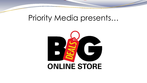## Priority Media presents…

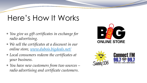## Here's How It Works

- *You give us gift certificates in exchange for radio advertising.*
- *We sell the certificates at a discount in our online store, [www.dubois.bigdeals.net/](http://www.dubois.bigdeals.net/)*
- *Local consumers redeem the certificates at your business.*
- *You have new customers from two sources – radio advertising and certificate customers.*





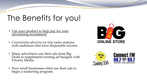## The Benefits for you!

- Use your product to help pay for your advertising investment!
- *Consistently advertise* on two radio stations with audiences that have disposable income.
- Many advertisers use their ads from Big Deals to supplement existing ad budgets with Priority Media.
- New small businesses often use their ads to begin a marketing program.





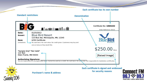Each certificate has its own number